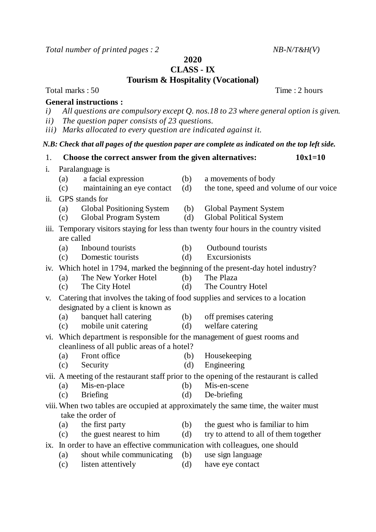*Total number of printed pages : 2 NB-N/T&H*(*V*)

**2020**

**CLASS - IX**

**Tourism & Hospitality (Vocational)**

Total marks : 50 Time : 2 hours

## **General instructions :**

- *i) All questions are compulsory except Q. nos.18 to 23 where general option is given.*
- *ii) The question paper consists of 23 questions.*
- *iii) Marks allocated to every question are indicated against it.*

## *N.B: Check that all pages of the question paper are complete as indicated on the top left side.*

- 1. **Choose the correct answer from the given alternatives: 10x1=10** i. Paralanguage is (a) a facial expression (b) a movements of body (c) maintaining an eye contact (d) the tone, speed and volume of our voice ii. GPS stands for (a) Global Positioning System (b) Global Payment System (c) Global Program System (d) Global Political System iii. Temporary visitors staying for less than twenty four hours in the country visited are called (a) Inbound tourists (b) Outbound tourists (c) Domestic tourists (d) Excursionists iv. Which hotel in 1794, marked the beginning of the present-day hotel industry? (a) The New Yorker Hotel (b) The Plaza (c) The City Hotel (d) The Country Hotel v. Catering that involves the taking of food supplies and services to a location designated by a client is known as (a) banquet hall catering (b) off premises catering (c) mobile unit catering (d) welfare catering vi. Which department is responsible for the management of guest rooms and cleanliness of all public areas of a hotel? (a) Front office (b) Housekeeping (c) Security (d) Engineering vii. A meeting of the restaurant staff prior to the opening of the restaurant is called (a) Mis-en-place (b) Mis-en-scene (c) Briefing (d) De-briefing viii.When two tables are occupied at approximately the same time, the waiter must take the order of (a) the first party (b) the guest who is familiar to him (c) the guest nearest to him  $(d)$  try to attend to all of them together ix. In order to have an effective communication with colleagues, one should (a) shout while communicating (b) use sign language (c) listen attentively (d) have eye contact
-